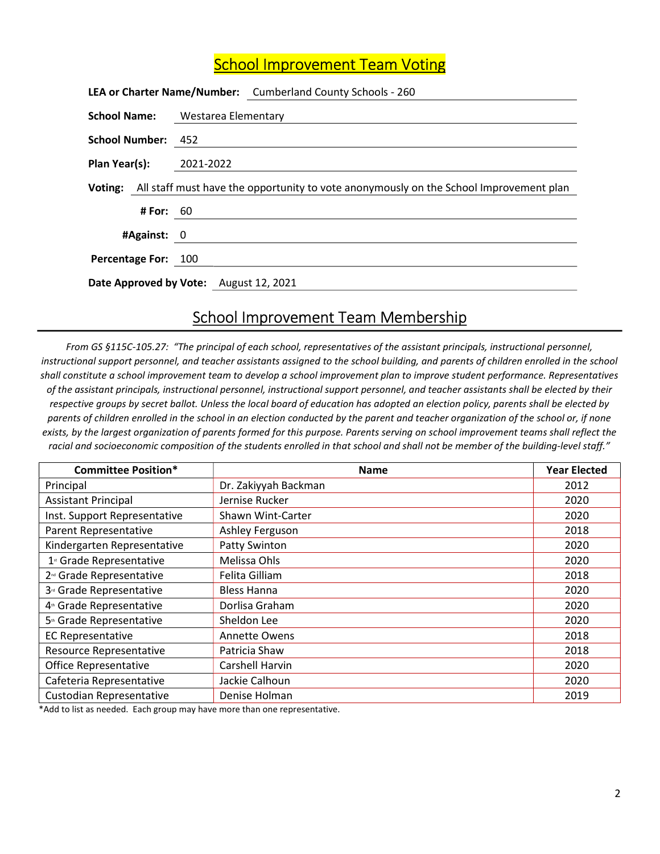## **School Improvement Team Voting**

|                                        |                  | LEA or Charter Name/Number: Cumberland County Schools - 260                                    |
|----------------------------------------|------------------|------------------------------------------------------------------------------------------------|
|                                        |                  | <b>School Name:</b> Westarea Elementary                                                        |
| School Number: 452                     |                  |                                                                                                |
| <b>Plan Year(s):</b> 2021-2022         |                  |                                                                                                |
|                                        |                  | Voting: All staff must have the opportunity to vote anonymously on the School Improvement plan |
|                                        | <b># For: 60</b> |                                                                                                |
| #Against: 0                            |                  |                                                                                                |
| Percentage For: 100                    |                  |                                                                                                |
| Date Approved by Vote: August 12, 2021 |                  |                                                                                                |

## School Improvement Team Membership

From GS §115C-105.27: "The principal of each school, representatives of the assistant principals, instructional personnel, instructional support personnel, and teacher assistants assigned to the school building, and parents of children enrolled in the school shall constitute a school improvement team to develop a school improvement plan to improve student performance. Representatives of the assistant principals, instructional personnel, instructional support personnel, and teacher assistants shall be elected by their respective groups by secret ballot. Unless the local board of education has adopted an election policy, parents shall be elected by parents of children enrolled in the school in an election conducted by the parent and teacher organization of the school or, if none exists, by the largest organization of parents formed for this purpose. Parents serving on school improvement teams shall reflect the racial and socioeconomic composition of the students enrolled in that school and shall not be member of the building-level staff."

| <b>Committee Position*</b>           | <b>Name</b>          | <b>Year Elected</b> |
|--------------------------------------|----------------------|---------------------|
| Principal                            | Dr. Zakiyyah Backman | 2012                |
| <b>Assistant Principal</b>           | Jernise Rucker       | 2020                |
| Inst. Support Representative         | Shawn Wint-Carter    | 2020                |
| <b>Parent Representative</b>         | Ashley Ferguson      | 2018                |
| Kindergarten Representative          | Patty Swinton        | 2020                |
| 1 <sup>st</sup> Grade Representative | Melissa Ohls         | 2020                |
| 2 <sup>nd</sup> Grade Representative | Felita Gilliam       | 2018                |
| 3 <sup>d</sup> Grade Representative  | <b>Bless Hanna</b>   | 2020                |
| 4 <sup>th</sup> Grade Representative | Dorlisa Graham       | 2020                |
| 5 <sup>th</sup> Grade Representative | Sheldon Lee          | 2020                |
| <b>EC Representative</b>             | <b>Annette Owens</b> | 2018                |
| Resource Representative              | Patricia Shaw        | 2018                |
| <b>Office Representative</b>         | Carshell Harvin      | 2020                |
| Cafeteria Representative             | Jackie Calhoun       | 2020                |
| Custodian Representative             | Denise Holman        | 2019                |

\*Add to list as needed. Each group may have more than one representative.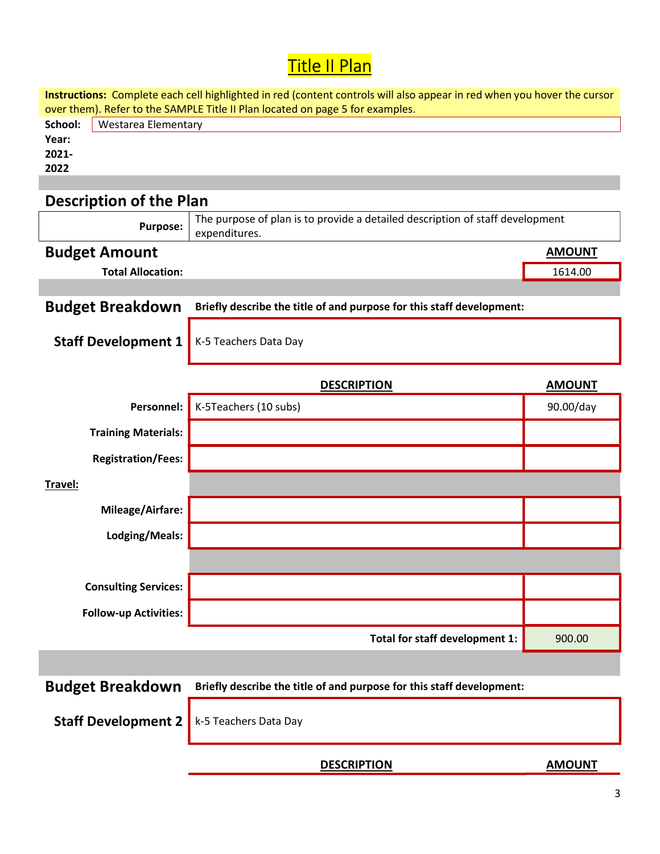## <mark>Title II Plan</mark>

| Instructions: Complete each cell highlighted in red (content controls will also appear in red when you hover the cursor |                                                                                                |               |  |  |  |  |  |
|-------------------------------------------------------------------------------------------------------------------------|------------------------------------------------------------------------------------------------|---------------|--|--|--|--|--|
| over them). Refer to the SAMPLE Title II Plan located on page 5 for examples.<br>School:                                |                                                                                                |               |  |  |  |  |  |
| Year:                                                                                                                   | <b>Westarea Elementary</b>                                                                     |               |  |  |  |  |  |
| 2021-                                                                                                                   |                                                                                                |               |  |  |  |  |  |
| 2022                                                                                                                    |                                                                                                |               |  |  |  |  |  |
|                                                                                                                         |                                                                                                |               |  |  |  |  |  |
| <b>Description of the Plan</b>                                                                                          |                                                                                                |               |  |  |  |  |  |
| <b>Purpose:</b>                                                                                                         | The purpose of plan is to provide a detailed description of staff development<br>expenditures. |               |  |  |  |  |  |
| <b>Budget Amount</b>                                                                                                    |                                                                                                | <b>AMOUNT</b> |  |  |  |  |  |
| <b>Total Allocation:</b>                                                                                                |                                                                                                | 1614.00       |  |  |  |  |  |
|                                                                                                                         |                                                                                                |               |  |  |  |  |  |
| <b>Budget Breakdown</b>                                                                                                 | Briefly describe the title of and purpose for this staff development:                          |               |  |  |  |  |  |
|                                                                                                                         |                                                                                                |               |  |  |  |  |  |
| <b>Staff Development 1</b>                                                                                              | K-5 Teachers Data Day                                                                          |               |  |  |  |  |  |
|                                                                                                                         |                                                                                                |               |  |  |  |  |  |
|                                                                                                                         | <b>DESCRIPTION</b>                                                                             | <b>AMOUNT</b> |  |  |  |  |  |
| Personnel:                                                                                                              | K-5Teachers (10 subs)                                                                          | 90.00/day     |  |  |  |  |  |
| <b>Training Materials:</b>                                                                                              |                                                                                                |               |  |  |  |  |  |
| <b>Registration/Fees:</b>                                                                                               |                                                                                                |               |  |  |  |  |  |
| Travel:                                                                                                                 |                                                                                                |               |  |  |  |  |  |
| Mileage/Airfare:                                                                                                        |                                                                                                |               |  |  |  |  |  |
| Lodging/Meals:                                                                                                          |                                                                                                |               |  |  |  |  |  |
|                                                                                                                         |                                                                                                |               |  |  |  |  |  |
|                                                                                                                         |                                                                                                |               |  |  |  |  |  |
| <b>Consulting Services:</b>                                                                                             |                                                                                                |               |  |  |  |  |  |
| <b>Follow-up Activities:</b>                                                                                            |                                                                                                |               |  |  |  |  |  |
|                                                                                                                         |                                                                                                |               |  |  |  |  |  |
|                                                                                                                         | Total for staff development 1:                                                                 | 900.00        |  |  |  |  |  |
|                                                                                                                         |                                                                                                |               |  |  |  |  |  |
| <b>Budget Breakdown</b>                                                                                                 | Briefly describe the title of and purpose for this staff development:                          |               |  |  |  |  |  |
|                                                                                                                         |                                                                                                |               |  |  |  |  |  |
| <b>Staff Development 2</b>                                                                                              | k-5 Teachers Data Day                                                                          |               |  |  |  |  |  |
|                                                                                                                         |                                                                                                |               |  |  |  |  |  |
|                                                                                                                         | <b>DESCRIPTION</b>                                                                             | <b>AMOUNT</b> |  |  |  |  |  |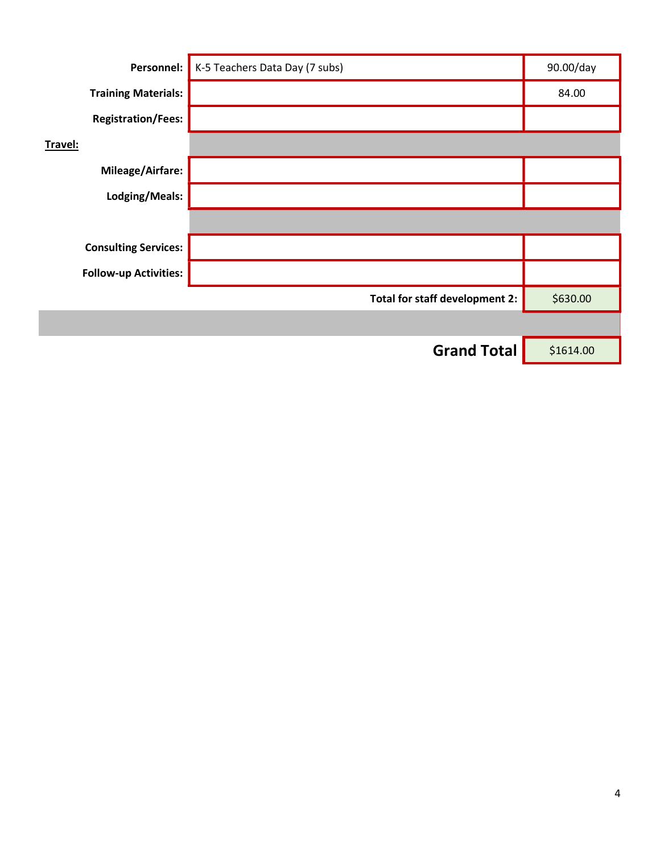| Personnel:                   | K-5 Teachers Data Day (7 subs) | 90.00/day |
|------------------------------|--------------------------------|-----------|
| <b>Training Materials:</b>   |                                | 84.00     |
| <b>Registration/Fees:</b>    |                                |           |
| Travel:                      |                                |           |
| Mileage/Airfare:             |                                |           |
| Lodging/Meals:               |                                |           |
|                              |                                |           |
| <b>Consulting Services:</b>  |                                |           |
| <b>Follow-up Activities:</b> |                                |           |
|                              | Total for staff development 2: | \$630.00  |
|                              |                                |           |
|                              | <b>Grand Total</b>             | \$1614.00 |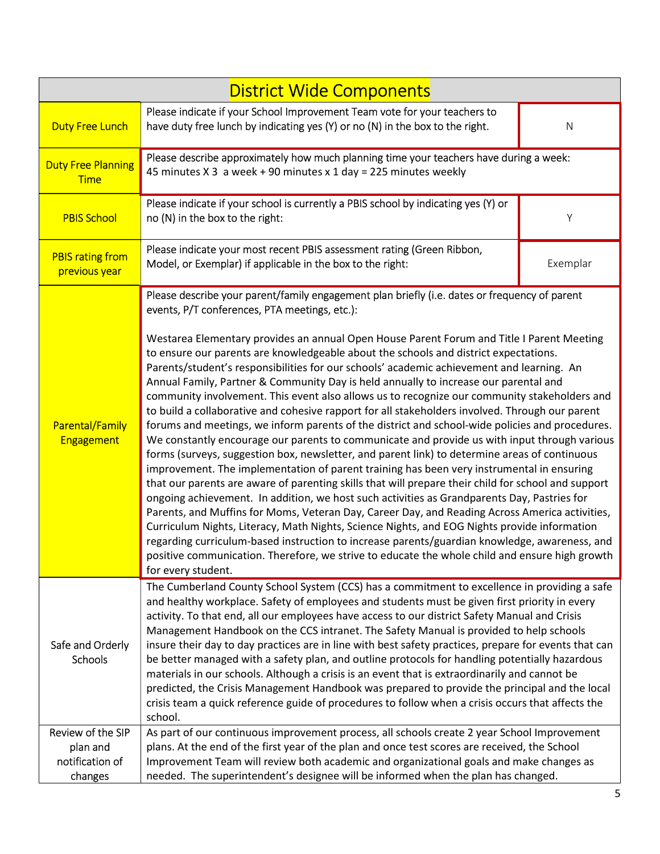| <b>District Wide Components</b>                                                                                                                                                                       |                                                                                                                                                                                                                                                                                                                                                                                                                                                                                                                                                                                                                                                                                                                                                                                                                                                                                                                                                                                                                                                                                                                                                                                                                                                                                                                                                                                                                                                                                                                                                                                                                                                                                                                                                               |          |  |  |  |
|-------------------------------------------------------------------------------------------------------------------------------------------------------------------------------------------------------|---------------------------------------------------------------------------------------------------------------------------------------------------------------------------------------------------------------------------------------------------------------------------------------------------------------------------------------------------------------------------------------------------------------------------------------------------------------------------------------------------------------------------------------------------------------------------------------------------------------------------------------------------------------------------------------------------------------------------------------------------------------------------------------------------------------------------------------------------------------------------------------------------------------------------------------------------------------------------------------------------------------------------------------------------------------------------------------------------------------------------------------------------------------------------------------------------------------------------------------------------------------------------------------------------------------------------------------------------------------------------------------------------------------------------------------------------------------------------------------------------------------------------------------------------------------------------------------------------------------------------------------------------------------------------------------------------------------------------------------------------------------|----------|--|--|--|
| <b>Duty Free Lunch</b>                                                                                                                                                                                | Please indicate if your School Improvement Team vote for your teachers to<br>have duty free lunch by indicating yes (Y) or no (N) in the box to the right.                                                                                                                                                                                                                                                                                                                                                                                                                                                                                                                                                                                                                                                                                                                                                                                                                                                                                                                                                                                                                                                                                                                                                                                                                                                                                                                                                                                                                                                                                                                                                                                                    | N        |  |  |  |
| Please describe approximately how much planning time your teachers have during a week:<br><b>Duty Free Planning</b><br>45 minutes X 3 a week + 90 minutes x 1 day = 225 minutes weekly<br><b>Time</b> |                                                                                                                                                                                                                                                                                                                                                                                                                                                                                                                                                                                                                                                                                                                                                                                                                                                                                                                                                                                                                                                                                                                                                                                                                                                                                                                                                                                                                                                                                                                                                                                                                                                                                                                                                               |          |  |  |  |
| <b>PBIS School</b>                                                                                                                                                                                    | Please indicate if your school is currently a PBIS school by indicating yes (Y) or<br>no (N) in the box to the right:                                                                                                                                                                                                                                                                                                                                                                                                                                                                                                                                                                                                                                                                                                                                                                                                                                                                                                                                                                                                                                                                                                                                                                                                                                                                                                                                                                                                                                                                                                                                                                                                                                         | Υ        |  |  |  |
| <b>PBIS rating from</b><br>previous year                                                                                                                                                              | Please indicate your most recent PBIS assessment rating (Green Ribbon,<br>Model, or Exemplar) if applicable in the box to the right:                                                                                                                                                                                                                                                                                                                                                                                                                                                                                                                                                                                                                                                                                                                                                                                                                                                                                                                                                                                                                                                                                                                                                                                                                                                                                                                                                                                                                                                                                                                                                                                                                          | Exemplar |  |  |  |
| <b>Parental/Family</b><br><b>Engagement</b>                                                                                                                                                           | Please describe your parent/family engagement plan briefly (i.e. dates or frequency of parent<br>events, P/T conferences, PTA meetings, etc.):<br>Westarea Elementary provides an annual Open House Parent Forum and Title I Parent Meeting<br>to ensure our parents are knowledgeable about the schools and district expectations.<br>Parents/student's responsibilities for our schools' academic achievement and learning. An<br>Annual Family, Partner & Community Day is held annually to increase our parental and<br>community involvement. This event also allows us to recognize our community stakeholders and<br>to build a collaborative and cohesive rapport for all stakeholders involved. Through our parent<br>forums and meetings, we inform parents of the district and school-wide policies and procedures.<br>We constantly encourage our parents to communicate and provide us with input through various<br>forms (surveys, suggestion box, newsletter, and parent link) to determine areas of continuous<br>improvement. The implementation of parent training has been very instrumental in ensuring<br>that our parents are aware of parenting skills that will prepare their child for school and support<br>ongoing achievement. In addition, we host such activities as Grandparents Day, Pastries for<br>Parents, and Muffins for Moms, Veteran Day, Career Day, and Reading Across America activities,<br>Curriculum Nights, Literacy, Math Nights, Science Nights, and EOG Nights provide information<br>regarding curriculum-based instruction to increase parents/guardian knowledge, awareness, and<br>positive communication. Therefore, we strive to educate the whole child and ensure high growth<br>for every student. |          |  |  |  |
| Safe and Orderly<br>Schools                                                                                                                                                                           | The Cumberland County School System (CCS) has a commitment to excellence in providing a safe<br>and healthy workplace. Safety of employees and students must be given first priority in every<br>activity. To that end, all our employees have access to our district Safety Manual and Crisis<br>Management Handbook on the CCS intranet. The Safety Manual is provided to help schools<br>insure their day to day practices are in line with best safety practices, prepare for events that can<br>be better managed with a safety plan, and outline protocols for handling potentially hazardous<br>materials in our schools. Although a crisis is an event that is extraordinarily and cannot be<br>predicted, the Crisis Management Handbook was prepared to provide the principal and the local<br>crisis team a quick reference guide of procedures to follow when a crisis occurs that affects the<br>school.                                                                                                                                                                                                                                                                                                                                                                                                                                                                                                                                                                                                                                                                                                                                                                                                                                         |          |  |  |  |
| Review of the SIP<br>plan and<br>notification of<br>changes                                                                                                                                           | As part of our continuous improvement process, all schools create 2 year School Improvement<br>plans. At the end of the first year of the plan and once test scores are received, the School<br>Improvement Team will review both academic and organizational goals and make changes as<br>needed. The superintendent's designee will be informed when the plan has changed.                                                                                                                                                                                                                                                                                                                                                                                                                                                                                                                                                                                                                                                                                                                                                                                                                                                                                                                                                                                                                                                                                                                                                                                                                                                                                                                                                                                  |          |  |  |  |